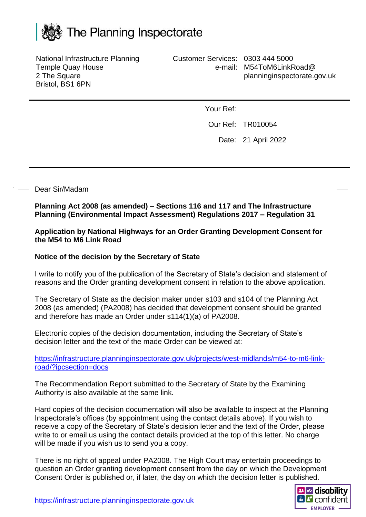

National Infrastructure Planning Temple Quay House 2 The Square Bristol, BS1 6PN

Customer Services: 0303 444 5000 e-mail: M54ToM6LinkRoad@ planninginspectorate.gov.uk

Your Ref:

Our Ref: TR010054

Date: 21 April 2022

## Dear Sir/Madam

**Planning Act 2008 (as amended) – Sections 116 and 117 and The Infrastructure Planning (Environmental Impact Assessment) Regulations 2017 – Regulation 31**

**Application by National Highways for an Order Granting Development Consent for the M54 to M6 Link Road**

## **Notice of the decision by the Secretary of State**

I write to notify you of the publication of the Secretary of State's decision and statement of reasons and the Order granting development consent in relation to the above application.

The Secretary of State as the decision maker under s103 and s104 of the Planning Act 2008 (as amended) (PA2008) has decided that development consent should be granted and therefore has made an Order under s114(1)(a) of PA2008.

Electronic copies of the decision documentation, including the Secretary of State's decision letter and the text of the made Order can be viewed at:

[https://infrastructure.planninginspectorate.gov.uk/projects/west-midlands/m54-to-m6-link](https://infrastructure.planninginspectorate.gov.uk/projects/west-midlands/m54-to-m6-link-road/?ipcsection=docs)[road/?ipcsection=docs](https://infrastructure.planninginspectorate.gov.uk/projects/west-midlands/m54-to-m6-link-road/?ipcsection=docs)

The Recommendation Report submitted to the Secretary of State by the Examining Authority is also available at the same link.

Hard copies of the decision documentation will also be available to inspect at the Planning Inspectorate's offices (by appointment using the contact details above). If you wish to receive a copy of the Secretary of State's decision letter and the text of the Order, please write to or email us using the contact details provided at the top of this letter. No charge will be made if you wish us to send you a copy.

There is no right of appeal under PA2008. The High Court may entertain proceedings to question an Order granting development consent from the day on which the Development Consent Order is published or, if later, the day on which the decision letter is published.